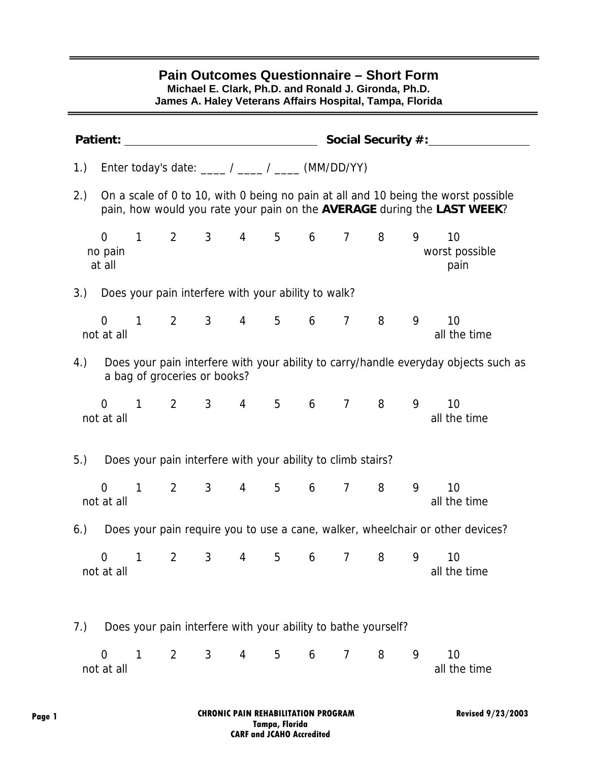| 1.) Enter today's date: ____ / ____ / ____ (MM/DD/YY)<br>On a scale of 0 to 10, with 0 being no pain at all and 10 being the worst possible<br>2.)<br>pain, how would you rate your pain on the AVERAGE during the LAST WEEK?<br>$1 \qquad 2 \qquad 3 \qquad 4 \qquad 5 \qquad 6 \qquad 7 \qquad 8$<br>$\overline{0}$<br>9<br>10<br>no pain<br>at all<br>3.) Does your pain interfere with your ability to walk?<br>$1 \qquad 2 \qquad 3 \qquad 4 \qquad 5$<br>6 7 8<br>9<br>10<br>$\overline{0}$<br>not at all<br>Does your pain interfere with your ability to carry/handle everyday objects such as<br>4.)<br>a bag of groceries or books?<br>2 3 4 5 6 7 8<br>9<br>$\overline{0}$<br>$\mathbf{1}$<br>10<br>not at all<br>5.)<br>Does your pain interfere with your ability to climb stairs?<br>2 3 4 5 6 7<br>9<br>10<br>$\mathbf{1}$<br>8<br>$\overline{0}$<br>not at all<br>Does your pain require you to use a cane, walker, wheelchair or other devices?<br>6.)<br>9<br>$\mathbf{1}$<br>$\overline{2}$<br>3<br>5<br>$\overline{7}$<br>8<br>10<br>$\Omega$<br>4<br>6 |  | <b>Patient:</b> Patient: |  |  |  | Social Security #:______ |
|-----------------------------------------------------------------------------------------------------------------------------------------------------------------------------------------------------------------------------------------------------------------------------------------------------------------------------------------------------------------------------------------------------------------------------------------------------------------------------------------------------------------------------------------------------------------------------------------------------------------------------------------------------------------------------------------------------------------------------------------------------------------------------------------------------------------------------------------------------------------------------------------------------------------------------------------------------------------------------------------------------------------------------------------------------------------------------|--|--------------------------|--|--|--|--------------------------|
|                                                                                                                                                                                                                                                                                                                                                                                                                                                                                                                                                                                                                                                                                                                                                                                                                                                                                                                                                                                                                                                                             |  |                          |  |  |  |                          |
|                                                                                                                                                                                                                                                                                                                                                                                                                                                                                                                                                                                                                                                                                                                                                                                                                                                                                                                                                                                                                                                                             |  |                          |  |  |  |                          |
|                                                                                                                                                                                                                                                                                                                                                                                                                                                                                                                                                                                                                                                                                                                                                                                                                                                                                                                                                                                                                                                                             |  |                          |  |  |  | worst possible<br>pain   |
|                                                                                                                                                                                                                                                                                                                                                                                                                                                                                                                                                                                                                                                                                                                                                                                                                                                                                                                                                                                                                                                                             |  |                          |  |  |  |                          |
|                                                                                                                                                                                                                                                                                                                                                                                                                                                                                                                                                                                                                                                                                                                                                                                                                                                                                                                                                                                                                                                                             |  |                          |  |  |  | all the time             |
|                                                                                                                                                                                                                                                                                                                                                                                                                                                                                                                                                                                                                                                                                                                                                                                                                                                                                                                                                                                                                                                                             |  |                          |  |  |  |                          |
|                                                                                                                                                                                                                                                                                                                                                                                                                                                                                                                                                                                                                                                                                                                                                                                                                                                                                                                                                                                                                                                                             |  |                          |  |  |  | all the time             |
|                                                                                                                                                                                                                                                                                                                                                                                                                                                                                                                                                                                                                                                                                                                                                                                                                                                                                                                                                                                                                                                                             |  |                          |  |  |  |                          |
|                                                                                                                                                                                                                                                                                                                                                                                                                                                                                                                                                                                                                                                                                                                                                                                                                                                                                                                                                                                                                                                                             |  |                          |  |  |  | all the time             |
|                                                                                                                                                                                                                                                                                                                                                                                                                                                                                                                                                                                                                                                                                                                                                                                                                                                                                                                                                                                                                                                                             |  |                          |  |  |  |                          |
| not at all                                                                                                                                                                                                                                                                                                                                                                                                                                                                                                                                                                                                                                                                                                                                                                                                                                                                                                                                                                                                                                                                  |  |                          |  |  |  | all the time             |
| Does your pain interfere with your ability to bathe yourself?<br>7.)                                                                                                                                                                                                                                                                                                                                                                                                                                                                                                                                                                                                                                                                                                                                                                                                                                                                                                                                                                                                        |  |                          |  |  |  |                          |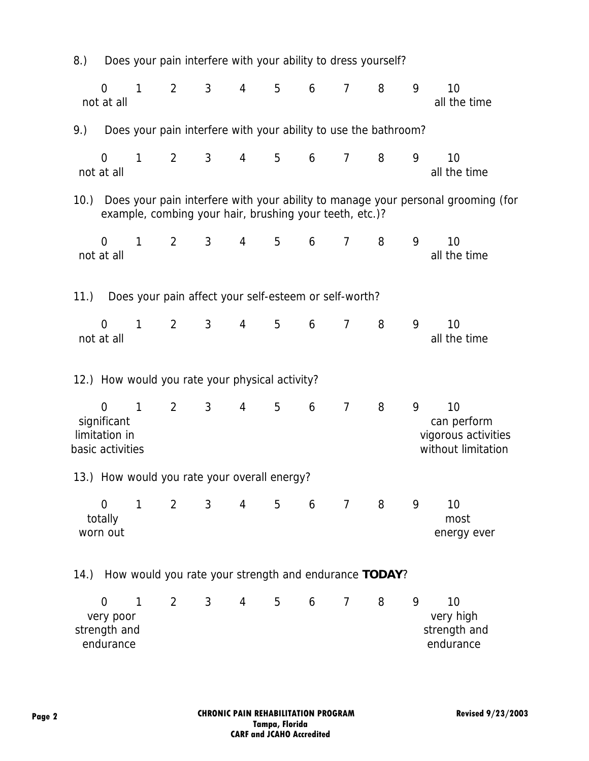| 8.)  |                                                              |              |                |                |                 |                                                 | Does your pain interfere with your ability to dress yourself?   |                |                |   |                                                                                  |
|------|--------------------------------------------------------------|--------------|----------------|----------------|-----------------|-------------------------------------------------|-----------------------------------------------------------------|----------------|----------------|---|----------------------------------------------------------------------------------|
|      | $\overline{0}$<br>not at all                                 | $\mathbf{1}$ | $\overline{2}$ | $\mathfrak{Z}$ | $\overline{4}$  | 5                                               | 6                                                               | $\overline{7}$ | 8              | 9 | 10<br>all the time                                                               |
| 9.)  |                                                              |              |                |                |                 |                                                 | Does your pain interfere with your ability to use the bathroom? |                |                |   |                                                                                  |
|      | $\overline{0}$<br>not at all                                 | $\mathbf{1}$ | $\overline{2}$ | $\mathfrak{Z}$ | 4               | 5                                               | 6                                                               | $\overline{7}$ | 8              | 9 | 10<br>all the time                                                               |
| 10.  |                                                              |              |                |                |                 |                                                 | example, combing your hair, brushing your teeth, etc.)?         |                |                |   | Does your pain interfere with your ability to manage your personal grooming (for |
|      | $\overline{0}$<br>not at all                                 | $\mathbf{1}$ | $\overline{2}$ | 3 <sup>7</sup> | 4               | 5                                               | 6                                                               | $\overline{7}$ | 8              | 9 | 10<br>all the time                                                               |
| 11.) |                                                              |              |                |                |                 |                                                 | Does your pain affect your self-esteem or self-worth?           |                |                |   |                                                                                  |
|      | $\overline{0}$<br>not at all                                 | $\mathbf{1}$ | $2^{\circ}$    | $\mathbf{3}$   | 4               | 5                                               | 6                                                               | $\overline{7}$ | 8              | 9 | 10<br>all the time                                                               |
|      |                                                              |              |                |                |                 | 12.) How would you rate your physical activity? |                                                                 |                |                |   |                                                                                  |
|      | $\Omega$<br>significant<br>limitation in<br>basic activities | $\mathbf{1}$ | $\overline{2}$ | $\mathbf{3}$   | $\overline{4}$  | 5                                               | 6                                                               | $\overline{7}$ | 8              | 9 | 10<br>can perform<br>vigorous activities<br>without limitation                   |
|      |                                                              |              |                |                |                 | 13.) How would you rate your overall energy?    |                                                                 |                |                |   |                                                                                  |
|      | $\overline{0}$<br>totally<br>worn out                        | $\mathbf{1}$ | $\overline{2}$ | $3^{\circ}$    | $4\overline{ }$ |                                                 | $5\qquad 6$                                                     | $\overline{7}$ | 8 <sup>8</sup> | 9 | 10<br>most<br>energy ever                                                        |
|      |                                                              |              |                |                |                 |                                                 | 14.) How would you rate your strength and endurance TODAY?      |                |                |   |                                                                                  |
|      | $\overline{0}$<br>very poor<br>strength and<br>endurance     | 1            | $\overline{2}$ | 3 <sup>7</sup> | $\overline{4}$  | 5                                               | 6                                                               | $\overline{7}$ | 8              | 9 | 10<br>very high<br>strength and<br>endurance                                     |